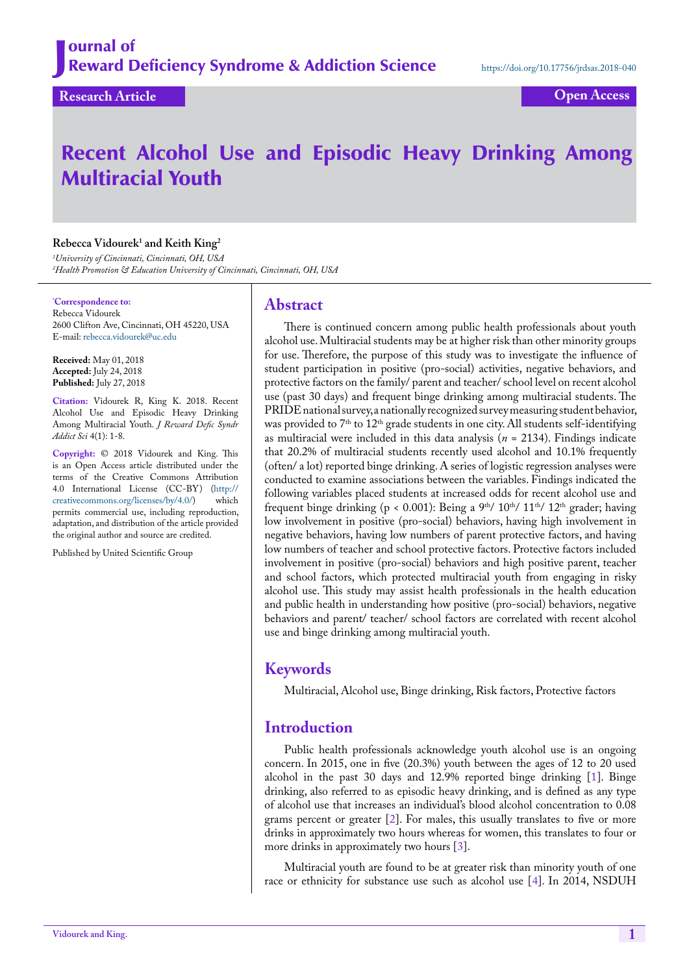**Research Article Open Access**

# Recent Alcohol Use and Episodic Heavy Drinking Among Multiracial Youth

# **Rebecca Vidourek1 and Keith King2**

*1 University of Cincinnati, Cincinnati, OH, USA 2 Health Promotion & Education University of Cincinnati, Cincinnati, OH, USA*

**\* Correspondence to:**

Rebecca Vidourek 2600 Clifton Ave, Cincinnati, OH 45220, USA E-mail: [rebecca.vidourek@uc.edu](mailto:rebecca.vidourek@uc.edu)

**Received:** May 01, 2018 **Accepted:** July 24, 2018 **Published:** July 27, 2018

**Citation:** Vidourek R, King K. 2018. Recent Alcohol Use and Episodic Heavy Drinking Among Multiracial Youth. *J Reward Defic Syndr Addict Sci* 4(1): 1-8.

**Copyright:** © 2018 Vidourek and King. This is an Open Access article distributed under the terms of the Creative Commons Attribution 4.0 International License (CC-BY) (http://<br>creativecommons.org/licenses/by/4.0/) which  $c$ reativecommons.org/licenses/by/4.0/) permits commercial use, including reproduction, adaptation, and distribution of the article provided the original author and source are credited.

Published by United Scientific Group

# **Abstract**

There is continued concern among public health professionals about youth alcohol use. Multiracial students may be at higher risk than other minority groups for use. Therefore, the purpose of this study was to investigate the influence of student participation in positive (pro-social) activities, negative behaviors, and protective factors on the family/ parent and teacher/ school level on recent alcohol use (past 30 days) and frequent binge drinking among multiracial students. The PRIDE national survey, a nationally recognized survey measuring student behavior, was provided to 7<sup>th</sup> to 12<sup>th</sup> grade students in one city. All students self-identifying as multiracial were included in this data analysis (*n* = 2134). Findings indicate that 20.2% of multiracial students recently used alcohol and 10.1% frequently (often/ a lot) reported binge drinking. A series of logistic regression analyses were conducted to examine associations between the variables. Findings indicated the following variables placed students at increased odds for recent alcohol use and frequent binge drinking (p < 0.001): Being a 9<sup>th</sup>/ 10<sup>th</sup>/ 11<sup>th</sup>/ 12<sup>th</sup> grader; having low involvement in positive (pro-social) behaviors, having high involvement in negative behaviors, having low numbers of parent protective factors, and having low numbers of teacher and school protective factors. Protective factors included involvement in positive (pro-social) behaviors and high positive parent, teacher and school factors, which protected multiracial youth from engaging in risky alcohol use. This study may assist health professionals in the health education and public health in understanding how positive (pro-social) behaviors, negative behaviors and parent/ teacher/ school factors are correlated with recent alcohol use and binge drinking among multiracial youth.

# **Keywords**

Multiracial, Alcohol use, Binge drinking, Risk factors, Protective factors

# **Introduction**

Public health professionals acknowledge youth alcohol use is an ongoing concern. In 2015, one in five (20.3%) youth between the ages of 12 to 20 used alcohol in the past 30 days and 12.9% reported binge drinking [[1\]](#page-6-0). Binge drinking, also referred to as episodic heavy drinking, and is defined as any type of alcohol use that increases an individual's blood alcohol concentration to 0.08 grams percent or greater [[2\]](#page-6-1). For males, this usually translates to five or more drinks in approximately two hours whereas for women, this translates to four or more drinks in approximately two hours [\[3](#page-6-2)].

Multiracial youth are found to be at greater risk than minority youth of one race or ethnicity for substance use such as alcohol use [[4\]](#page-6-3). In 2014, NSDUH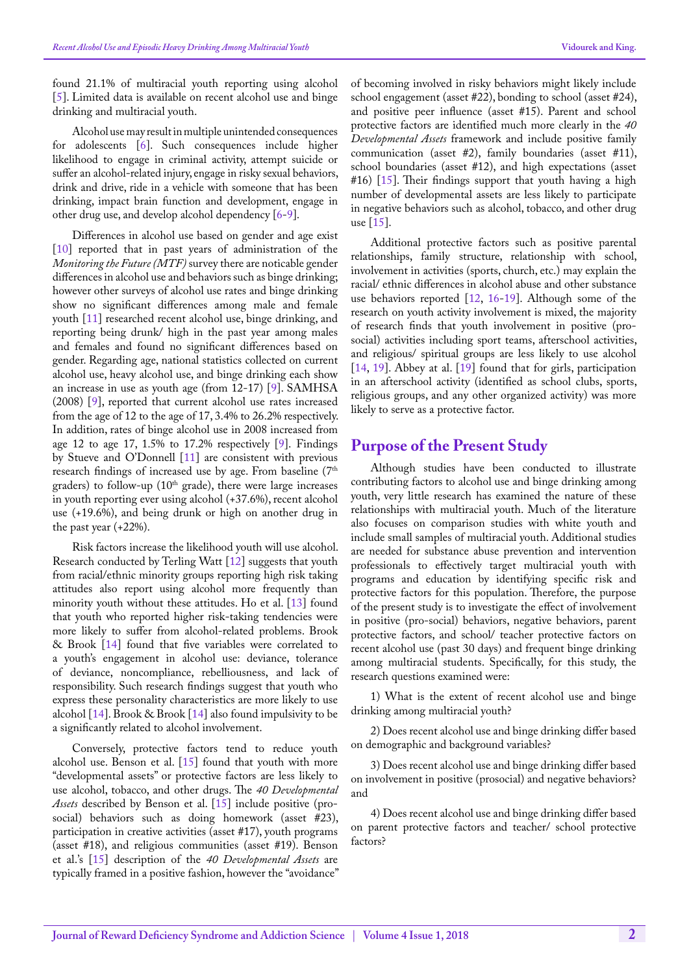found 21.1% of multiracial youth reporting using alcohol [[5\]](#page-6-4). Limited data is available on recent alcohol use and binge drinking and multiracial youth.

Alcohol use may result in multiple unintended consequences for adolescents [\[6](#page-7-0)]. Such consequences include higher likelihood to engage in criminal activity, attempt suicide or suffer an alcohol-related injury, engage in risky sexual behaviors, drink and drive, ride in a vehicle with someone that has been drinking, impact brain function and development, engage in other drug use, and develop alcohol dependency [\[6](#page-7-0)[-9\]](#page-7-1).

Differences in alcohol use based on gender and age exist [[10\]](#page-7-2) reported that in past years of administration of the *Monitoring the Future (MTF)* survey there are noticable gender differences in alcohol use and behaviors such as binge drinking; however other surveys of alcohol use rates and binge drinking show no significant differences among male and female youth [[11\]](#page-7-3) researched recent alcohol use, binge drinking, and reporting being drunk/ high in the past year among males and females and found no significant differences based on gender. Regarding age, national statistics collected on current alcohol use, heavy alcohol use, and binge drinking each show an increase in use as youth age (from 12-17) [\[9](#page-7-1)]. SAMHSA (2008) [\[9](#page-7-1)], reported that current alcohol use rates increased from the age of 12 to the age of 17, 3.4% to 26.2% respectively. In addition, rates of binge alcohol use in 2008 increased from age 12 to age 17, 1.5% to 17.2% respectively  $[9]$  $[9]$ . Findings by Stueve and O'Donnell [[11\]](#page-7-3) are consistent with previous research findings of increased use by age. From baseline (7<sup>th</sup> graders) to follow-up ( $10<sup>th</sup>$  grade), there were large increases in youth reporting ever using alcohol (+37.6%), recent alcohol use (+19.6%), and being drunk or high on another drug in the past year (+22%).

Risk factors increase the likelihood youth will use alcohol. Research conducted by Terling Watt [\[12](#page-7-4)] suggests that youth from racial/ethnic minority groups reporting high risk taking attitudes also report using alcohol more frequently than minority youth without these attitudes. Ho et al. [\[13](#page-7-5)] found that youth who reported higher risk-taking tendencies were more likely to suffer from alcohol-related problems. Brook & Brook [\[14](#page-7-6)] found that five variables were correlated to a youth's engagement in alcohol use: deviance, tolerance of deviance, noncompliance, rebelliousness, and lack of responsibility. Such research findings suggest that youth who express these personality characteristics are more likely to use alcohol [[14\]](#page-7-6). Brook & Brook [[14\]](#page-7-6) also found impulsivity to be a significantly related to alcohol involvement.

Conversely, protective factors tend to reduce youth alcohol use. Benson et al. [[15\]](#page-7-7) found that youth with more "developmental assets" or protective factors are less likely to use alcohol, tobacco, and other drugs. The *40 Developmental Assets* described by Benson et al. [\[15](#page-7-7)] include positive (prosocial) behaviors such as doing homework (asset #23), participation in creative activities (asset #17), youth programs (asset #18), and religious communities (asset #19). Benson et al.'s [\[15](#page-7-7)] description of the *40 Developmental Assets* are typically framed in a positive fashion, however the "avoidance"

of becoming involved in risky behaviors might likely include school engagement (asset #22), bonding to school (asset #24), and positive peer influence (asset #15). Parent and school protective factors are identified much more clearly in the *40 Developmental Assets* framework and include positive family communication (asset #2), family boundaries (asset #11), school boundaries (asset #12), and high expectations (asset #16) [\[15](#page-7-7)]. Their findings support that youth having a high number of developmental assets are less likely to participate in negative behaviors such as alcohol, tobacco, and other drug use [\[15](#page-7-7)].

Additional protective factors such as positive parental relationships, family structure, relationship with school, involvement in activities (sports, church, etc.) may explain the racial/ ethnic differences in alcohol abuse and other substance use behaviors reported [\[12](#page-7-4), [16-](#page-7-8)[19\]](#page-7-9). Although some of the research on youth activity involvement is mixed, the majority of research finds that youth involvement in positive (prosocial) activities including sport teams, afterschool activities, and religious/ spiritual groups are less likely to use alcohol [[14,](#page-7-6) [19](#page-7-9)]. Abbey at al. [\[19](#page-7-9)] found that for girls, participation in an afterschool activity (identified as school clubs, sports, religious groups, and any other organized activity) was more likely to serve as a protective factor.

# **Purpose of the Present Study**

Although studies have been conducted to illustrate contributing factors to alcohol use and binge drinking among youth, very little research has examined the nature of these relationships with multiracial youth. Much of the literature also focuses on comparison studies with white youth and include small samples of multiracial youth. Additional studies are needed for substance abuse prevention and intervention professionals to effectively target multiracial youth with programs and education by identifying specific risk and protective factors for this population. Therefore, the purpose of the present study is to investigate the effect of involvement in positive (pro-social) behaviors, negative behaviors, parent protective factors, and school/ teacher protective factors on recent alcohol use (past 30 days) and frequent binge drinking among multiracial students. Specifically, for this study, the research questions examined were:

1) What is the extent of recent alcohol use and binge drinking among multiracial youth?

2) Does recent alcohol use and binge drinking differ based on demographic and background variables?

3) Does recent alcohol use and binge drinking differ based on involvement in positive (prosocial) and negative behaviors? and

4) Does recent alcohol use and binge drinking differ based on parent protective factors and teacher/ school protective factors?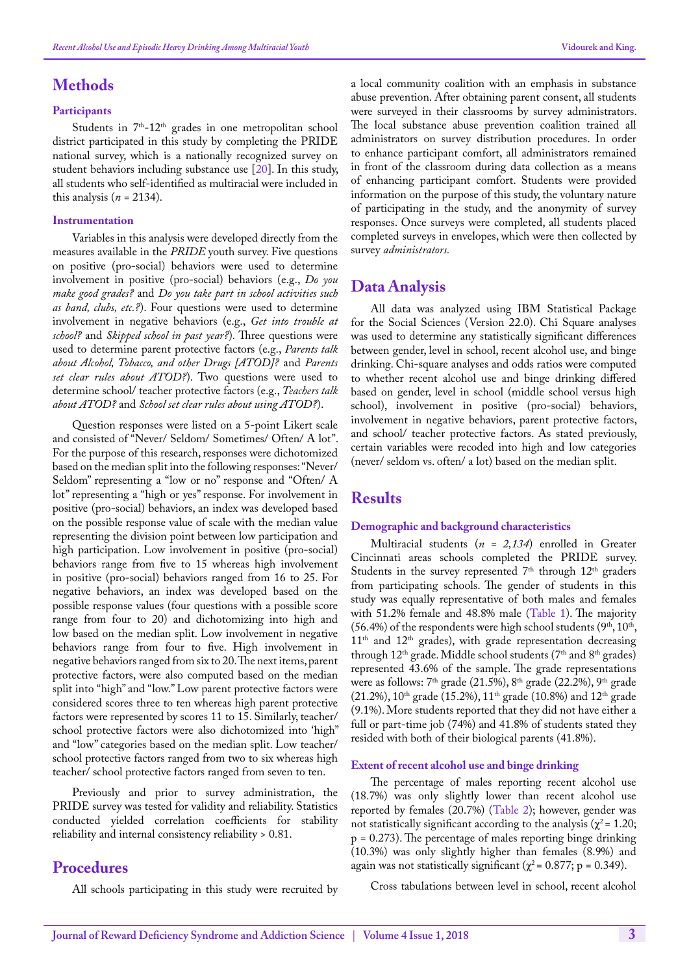# **Methods**

#### **Participants**

Students in 7<sup>th</sup>-12<sup>th</sup> grades in one metropolitan school district participated in this study by completing the PRIDE national survey, which is a nationally recognized survey on student behaviors including substance use [\[20](#page-7-10)]. In this study, all students who self-identified as multiracial were included in this analysis  $(n = 2134)$ .

#### **Instrumentation**

Variables in this analysis were developed directly from the measures available in the *PRIDE* youth survey. Five questions on positive (pro-social) behaviors were used to determine involvement in positive (pro-social) behaviors (e.g., *Do you make good grades?* and *Do you take part in school activities such as band, clubs, etc.?*). Four questions were used to determine involvement in negative behaviors (e.g., *Get into trouble at school?* and *Skipped school in past year?*)*.* Three questions were used to determine parent protective factors (e.g., *Parents talk about Alcohol, Tobacco, and other Drugs [ATOD]?* and *Parents set clear rules about ATOD?*). Two questions were used to determine school/ teacher protective factors (e.g., *Teachers talk about ATOD?* and *School set clear rules about using ATOD?*).

Question responses were listed on a 5-point Likert scale and consisted of "Never/ Seldom/ Sometimes/ Often/ A lot". For the purpose of this research, responses were dichotomized based on the median split into the following responses: "Never/ Seldom" representing a "low or no" response and "Often/ A lot" representing a "high or yes" response. For involvement in positive (pro-social) behaviors, an index was developed based on the possible response value of scale with the median value representing the division point between low participation and high participation. Low involvement in positive (pro-social) behaviors range from five to 15 whereas high involvement in positive (pro-social) behaviors ranged from 16 to 25. For negative behaviors, an index was developed based on the possible response values (four questions with a possible score range from four to 20) and dichotomizing into high and low based on the median split. Low involvement in negative behaviors range from four to five. High involvement in negative behaviors ranged from six to 20. The next items, parent protective factors, were also computed based on the median split into "high" and "low." Low parent protective factors were considered scores three to ten whereas high parent protective factors were represented by scores 11 to 15. Similarly, teacher/ school protective factors were also dichotomized into 'high" and "low" categories based on the median split. Low teacher/ school protective factors ranged from two to six whereas high teacher/ school protective factors ranged from seven to ten.

Previously and prior to survey administration, the PRIDE survey was tested for validity and reliability. Statistics conducted yielded correlation coefficients for stability reliability and internal consistency reliability > 0.81.

# **Procedures**

All schools participating in this study were recruited by

a local community coalition with an emphasis in substance abuse prevention. After obtaining parent consent, all students were surveyed in their classrooms by survey administrators. The local substance abuse prevention coalition trained all administrators on survey distribution procedures. In order to enhance participant comfort, all administrators remained in front of the classroom during data collection as a means of enhancing participant comfort. Students were provided information on the purpose of this study, the voluntary nature of participating in the study, and the anonymity of survey responses. Once surveys were completed, all students placed completed surveys in envelopes, which were then collected by survey *administrators.* 

### **Data Analysis**

All data was analyzed using IBM Statistical Package for the Social Sciences (Version 22.0). Chi Square analyses was used to determine any statistically significant differences between gender, level in school, recent alcohol use, and binge drinking. Chi-square analyses and odds ratios were computed to whether recent alcohol use and binge drinking differed based on gender, level in school (middle school versus high school), involvement in positive (pro-social) behaviors, involvement in negative behaviors, parent protective factors, and school/ teacher protective factors. As stated previously, certain variables were recoded into high and low categories (never/ seldom vs. often/ a lot) based on the median split.

# **Results**

#### **Demographic and background characteristics**

Multiracial students (*n = 2,134*) enrolled in Greater Cincinnati areas schools completed the PRIDE survey. Students in the survey represented  $7<sup>th</sup>$  through  $12<sup>th</sup>$  graders from participating schools. The gender of students in this study was equally representative of both males and females with 51.2% female and 48.8% male ([Table 1](#page-3-0)). The majority  $(56.4%)$  of the respondents were high school students  $(9<sup>th</sup>, 10<sup>th</sup>)$ ,  $11<sup>th</sup>$  and  $12<sup>th</sup>$  grades), with grade representation decreasing through  $12<sup>th</sup>$  grade. Middle school students ( $7<sup>th</sup>$  and  $8<sup>th</sup>$  grades) represented 43.6% of the sample. The grade representations were as follows:  $7<sup>th</sup>$  grade (21.5%),  $8<sup>th</sup>$  grade (22.2%),  $9<sup>th</sup>$  grade (21.2%),  $10^{th}$  grade (15.2%),  $11^{th}$  grade (10.8%) and  $12^{th}$  grade (9.1%). More students reported that they did not have either a full or part-time job (74%) and 41.8% of students stated they resided with both of their biological parents (41.8%).

#### **Extent of recent alcohol use and binge drinking**

The percentage of males reporting recent alcohol use (18.7%) was only slightly lower than recent alcohol use reported by females (20.7%) ([Table 2\)](#page-3-1); however, gender was not statistically significant according to the analysis ( $\chi^2$  = 1.20;  $p = 0.273$ ). The percentage of males reporting binge drinking (10.3%) was only slightly higher than females (8.9%) and again was not statistically significant ( $\chi^2$  = 0.877; p = 0.349).

Cross tabulations between level in school, recent alcohol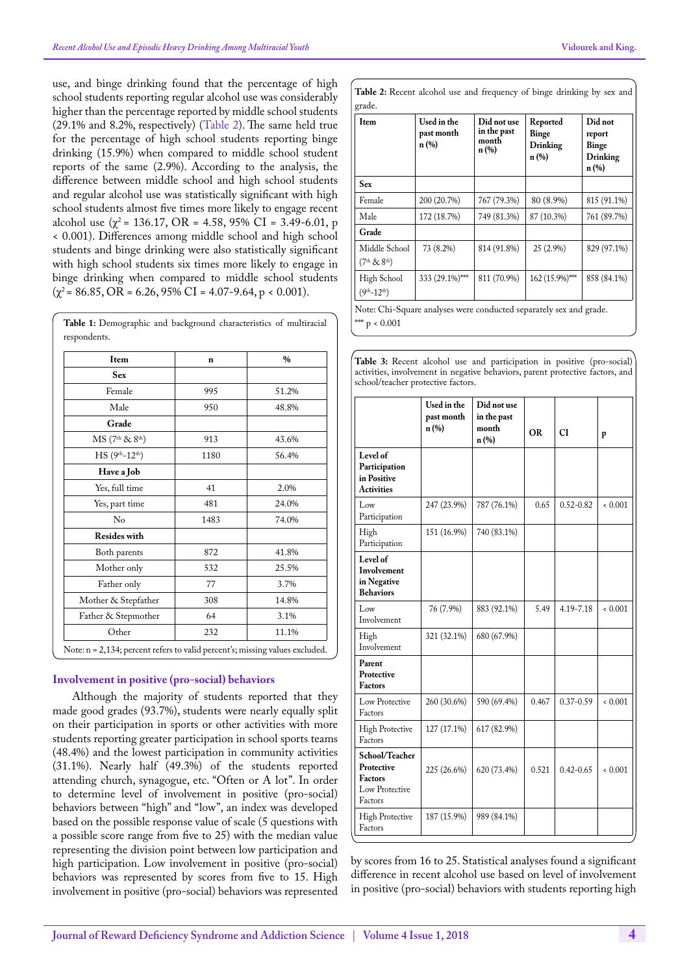use, and binge drinking found that the percentage of high school students reporting regular alcohol use was considerably higher than the percentage reported by middle school students (29.1% and 8.2%, respectively) ([Table 2](#page-3-1)). The same held true for the percentage of high school students reporting binge drinking (15.9%) when compared to middle school student reports of the same (2.9%). According to the analysis, the difference between middle school and high school students and regular alcohol use was statistically significant with high school students almost five times more likely to engage recent alcohol use  $(\chi^2 = 136.17, \text{ OR } = 4.58, 95\% \text{ CI } = 3.49\text{-}6.01, \text{ p}$ < 0.001). Differences among middle school and high school students and binge drinking were also statistically significant with high school students six times more likely to engage in binge drinking when compared to middle school students  $(\chi^2 = 86.85, \text{OR} = 6.26, 95\% \text{ CI} = 4.07-9.64, \text{p} < 0.001).$ 

| Item                                    | n    | $\%$  |
|-----------------------------------------|------|-------|
| <b>Sex</b>                              |      |       |
| Female                                  | 995  | 51.2% |
| Male                                    | 950  | 48.8% |
| Grade                                   |      |       |
| MS (7 <sup>th</sup> & 8 <sup>th</sup> ) | 913  | 43.6% |
| $HS(9th-12th)$                          | 1180 | 56.4% |
| Have a Job                              |      |       |
| Yes, full time                          | 41   | 2.0%  |
| Yes, part time                          | 481  | 24.0% |
| No                                      | 1483 | 74.0% |
| <b>Resides with</b>                     |      |       |
| Both parents                            | 872  | 41.8% |
| Mother only                             | 532  | 25.5% |
| Father only                             | 77   | 3.7%  |
| Mother & Stepfather                     | 308  | 14.8% |
| Father & Stepmother                     | 64   | 3.1%  |
| Other                                   | 232  | 11.1% |

<span id="page-3-0"></span>**Table 1:** Demographic and background characteristics of multiracial respondents.

# **Involvement in positive (pro-social) behaviors**

Although the majority of students reported that they made good grades (93.7%), students were nearly equally split on their participation in sports or other activities with more students reporting greater participation in school sports teams (48.4%) and the lowest participation in community activities (31.1%). Nearly half (49.3%) of the students reported attending church, synagogue, etc. "Often or A lot". In order to determine level of involvement in positive (pro-social) behaviors between "high" and "low", an index was developed based on the possible response value of scale (5 questions with a possible score range from five to 25) with the median value representing the division point between low participation and high participation. Low involvement in positive (pro-social) behaviors was represented by scores from five to 15. High involvement in positive (pro-social) behaviors was represented

<span id="page-3-1"></span>

| Item                                                  | Used in the<br>past month<br>$n(\%)$ | Did not use<br>in the past<br>month<br>$n(\%)$ | Reported<br><b>Binge</b><br>Drinking<br>$n(\%)$ | Did not<br>report<br>Binge<br>Drinking<br>$n(\%)$ |
|-------------------------------------------------------|--------------------------------------|------------------------------------------------|-------------------------------------------------|---------------------------------------------------|
| <b>Sex</b>                                            |                                      |                                                |                                                 |                                                   |
| Female                                                | 200 (20.7%)                          | 767 (79.3%)                                    | 80 (8.9%)                                       | 815 (91.1%)                                       |
| Male                                                  | 172 (18.7%)                          | 749 (81.3%)                                    | 87 (10.3%)                                      | 761 (89.7%)                                       |
| Grade                                                 |                                      |                                                |                                                 |                                                   |
| Middle School<br>(7 <sup>th</sup> & 8 <sup>th</sup> ) | 73 (8.2%)                            | 814 (91.8%)                                    | 25 (2.9%)                                       | 829 (97.1%)                                       |
| High School<br>$(9th-12th)$                           | 333 (29.1%)***                       | 811 (70.9%)                                    | 162 (15.9%)***                                  | 858 (84.1%)                                       |

Note: Chi-Square analyses were conducted separately sex and grade. \*\*  $p < 0.001$ 

<span id="page-3-2"></span>**Table 3:** Recent alcohol use and participation in positive (pro-social) activities, involvement in negative behaviors, parent protective factors, and school/teacher protective factors.

|                                                                             | Used in the<br>past month<br>$n(\%)$ | Did not use<br>in the past<br>month<br>n (%) | <b>OR</b> | <b>CI</b>     | p     |
|-----------------------------------------------------------------------------|--------------------------------------|----------------------------------------------|-----------|---------------|-------|
| Level of<br>Participation<br>in Positive<br><b>Activities</b>               |                                      |                                              |           |               |       |
| Low<br>Participation                                                        | 247 (23.9%)                          | 787 (76.1%)                                  | 0.65      | $0.52 - 0.82$ | 0.001 |
| High<br>Participation                                                       | 151 (16.9%)                          | 740 (83.1%)                                  |           |               |       |
| Level of<br>Involvement<br>in Negative<br><b>Behaviors</b>                  |                                      |                                              |           |               |       |
| Low<br>Involvement                                                          | 76 (7.9%)                            | 883 (92.1%)                                  | 5.49      | 4.19-7.18     | 0.001 |
| High<br>Involvement                                                         | 321 (32.1%)                          | 680 (67.9%)                                  |           |               |       |
| Parent<br>Protective<br><b>Factors</b>                                      |                                      |                                              |           |               |       |
| Low Protective<br>Factors                                                   | 260 (30.6%)                          | 590 (69.4%)                                  | 0.467     | $0.37 - 0.59$ | 0.001 |
| <b>High Protective</b><br>Factors                                           | 127 (17.1%)                          | 617 (82.9%)                                  |           |               |       |
| School/Teacher<br>Protective<br><b>Factors</b><br>Low Protective<br>Factors | 225 (26.6%)                          | 620 (73.4%)                                  | 0.521     | $0.42 - 0.65$ | 0.001 |
| <b>High Protective</b><br>Factors                                           | 187 (15.9%)                          | 989 (84.1%)                                  |           |               |       |

by scores from 16 to 25. Statistical analyses found a significant difference in recent alcohol use based on level of involvement in positive (pro-social) behaviors with students reporting high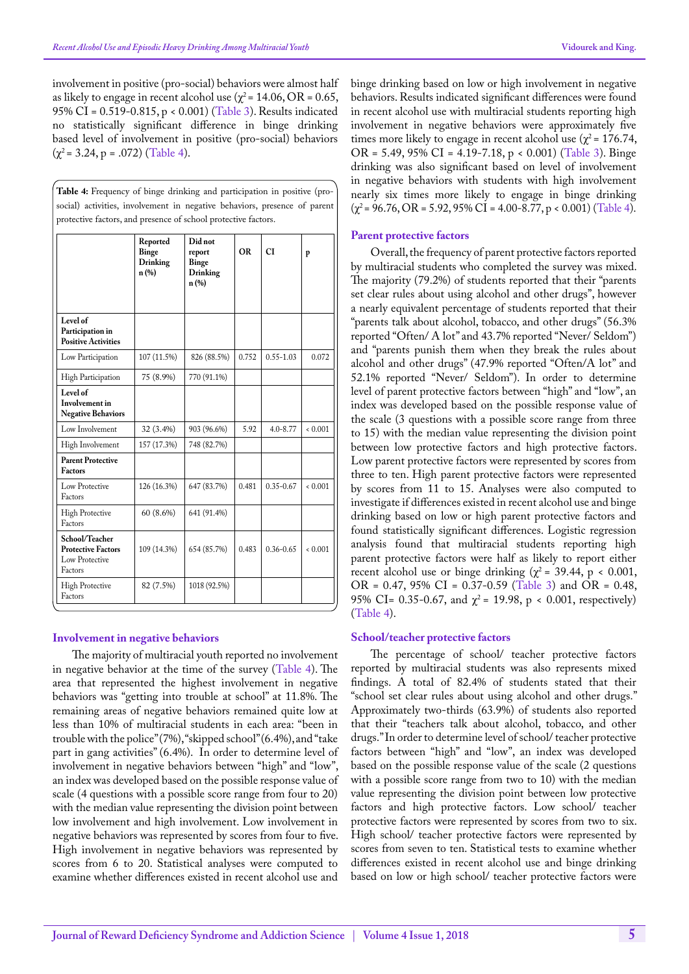involvement in positive (pro-social) behaviors were almost half as likely to engage in recent alcohol use ( $\chi^2$  = 14.06, OR = 0.65, 95% CI = 0.519-0.815, p < 0.001) ([Table 3\)](#page-3-2). Results indicated no statistically significant difference in binge drinking based level of involvement in positive (pro-social) behaviors  $(\chi^2 = 3.24, p = .072)$  ([Table 4\)](#page-4-0).

<span id="page-4-0"></span>

| Table 4: Frequency of binge drinking and participation in positive (pro-  |
|---------------------------------------------------------------------------|
| social) activities, involvement in negative behaviors, presence of parent |
| protective factors, and presence of school protective factors.            |

|                                                                          | Reported<br>Binge<br>Drinking<br>n(%) | Did not<br>report<br><b>Binge</b><br>Drinking<br>n(%) | <b>OR</b> | <b>CI</b>     | p     |
|--------------------------------------------------------------------------|---------------------------------------|-------------------------------------------------------|-----------|---------------|-------|
| Level of<br>Participation in<br><b>Positive Activities</b>               |                                       |                                                       |           |               |       |
| Low Participation                                                        | 107 (11.5%)                           | 826 (88.5%)                                           | 0.752     | $0.55 - 1.03$ | 0.072 |
| High Participation                                                       | 75 (8.9%)                             | 770 (91.1%)                                           |           |               |       |
| Level of<br>Involvement in<br><b>Negative Behaviors</b>                  |                                       |                                                       |           |               |       |
| Low Involvement                                                          | 32 (3.4%)                             | 903 (96.6%)                                           | 5.92      | $4.0 - 8.77$  | 0.001 |
| High Involvement                                                         | 157 (17.3%)                           | 748 (82.7%)                                           |           |               |       |
| <b>Parent Protective</b><br><b>Factors</b>                               |                                       |                                                       |           |               |       |
| Low Protective<br>Factors                                                | 126 (16.3%)                           | 647 (83.7%)                                           | 0.481     | $0.35 - 0.67$ | 0.001 |
| <b>High Protective</b><br>Factors                                        | 60 (8.6%)                             | 641 (91.4%)                                           |           |               |       |
| School/Teacher<br><b>Protective Factors</b><br>Low Protective<br>Factors | 109 (14.3%)                           | 654 (85.7%)                                           | 0.483     | $0.36 - 0.65$ | 0.001 |
| <b>High Protective</b><br>Factors                                        | 82 (7.5%)                             | 1018 (92.5%)                                          |           |               |       |

#### **Involvement in negative behaviors**

The majority of multiracial youth reported no involvement in negative behavior at the time of the survey [\(Table 4\)](#page-4-0). The area that represented the highest involvement in negative behaviors was "getting into trouble at school" at 11.8%. The remaining areas of negative behaviors remained quite low at less than 10% of multiracial students in each area: "been in trouble with the police" (7%), "skipped school" (6.4%), and "take part in gang activities" (6.4%). In order to determine level of involvement in negative behaviors between "high" and "low", an index was developed based on the possible response value of scale (4 questions with a possible score range from four to 20) with the median value representing the division point between low involvement and high involvement. Low involvement in negative behaviors was represented by scores from four to five. High involvement in negative behaviors was represented by scores from 6 to 20. Statistical analyses were computed to examine whether differences existed in recent alcohol use and

binge drinking based on low or high involvement in negative behaviors. Results indicated significant differences were found in recent alcohol use with multiracial students reporting high involvement in negative behaviors were approximately five times more likely to engage in recent alcohol use ( $\chi^2$  = 176.74, OR = 5.49, 95% CI = 4.19-7.18, p < 0.001) ([Table 3](#page-3-2)). Binge drinking was also significant based on level of involvement in negative behaviors with students with high involvement nearly six times more likely to engage in binge drinking  $(\chi^2 = 96.76, \text{OR} = 5.92, 95\% \text{ CI} = 4.00-8.77, \text{p} < 0.001) \text{ (Table 4)}.$  $(\chi^2 = 96.76, \text{OR} = 5.92, 95\% \text{ CI} = 4.00-8.77, \text{p} < 0.001) \text{ (Table 4)}.$  $(\chi^2 = 96.76, \text{OR} = 5.92, 95\% \text{ CI} = 4.00-8.77, \text{p} < 0.001) \text{ (Table 4)}.$ 

#### **Parent protective factors**

Overall, the frequency of parent protective factors reported by multiracial students who completed the survey was mixed. The majority (79.2%) of students reported that their "parents set clear rules about using alcohol and other drugs", however a nearly equivalent percentage of students reported that their "parents talk about alcohol, tobacco, and other drugs" (56.3% reported "Often/ A lot" and 43.7% reported "Never/ Seldom") and "parents punish them when they break the rules about alcohol and other drugs" (47.9% reported "Often/A lot" and 52.1% reported "Never/ Seldom"). In order to determine level of parent protective factors between "high" and "low", an index was developed based on the possible response value of the scale (3 questions with a possible score range from three to 15) with the median value representing the division point between low protective factors and high protective factors. Low parent protective factors were represented by scores from three to ten. High parent protective factors were represented by scores from 11 to 15. Analyses were also computed to investigate if differences existed in recent alcohol use and binge drinking based on low or high parent protective factors and found statistically significant differences. Logistic regression analysis found that multiracial students reporting high parent protective factors were half as likely to report either recent alcohol use or binge drinking ( $\chi^2$  = 39.44, p < 0.001, OR =  $0.47$ ,  $95\%$  CI =  $0.37-0.59$  ([Table 3\)](#page-3-2) and OR =  $0.48$ , 95% CI= 0.35-0.67, and  $\chi^2$  = 19.98, p < 0.001, respectively) ([Table 4\)](#page-4-0).

#### **School/teacher protective factors**

The percentage of school/ teacher protective factors reported by multiracial students was also represents mixed findings. A total of 82.4% of students stated that their "school set clear rules about using alcohol and other drugs." Approximately two-thirds (63.9%) of students also reported that their "teachers talk about alcohol, tobacco, and other drugs." In order to determine level of school/ teacher protective factors between "high" and "low", an index was developed based on the possible response value of the scale (2 questions with a possible score range from two to 10) with the median value representing the division point between low protective factors and high protective factors. Low school/ teacher protective factors were represented by scores from two to six. High school/ teacher protective factors were represented by scores from seven to ten. Statistical tests to examine whether differences existed in recent alcohol use and binge drinking based on low or high school/ teacher protective factors were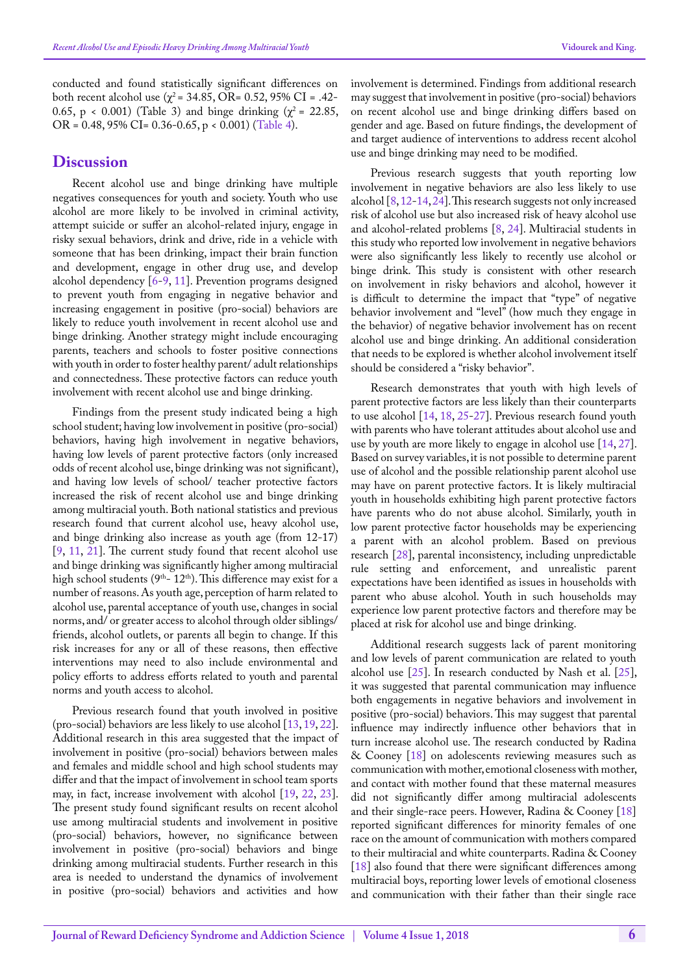conducted and found statistically significant differences on both recent alcohol use ( $χ$ <sup>2</sup> = 34.85, OR= 0.52, 95% CI = .42-0.65, p < 0.001) (Table 3) and binge drinking ( $\chi^2$  = 22.85, OR = 0.48, 95% CI= 0.36-0.65, p < 0.001) ([Table 4\)](#page-4-0).

### **Discussion**

Recent alcohol use and binge drinking have multiple negatives consequences for youth and society. Youth who use alcohol are more likely to be involved in criminal activity, attempt suicide or suffer an alcohol-related injury, engage in risky sexual behaviors, drink and drive, ride in a vehicle with someone that has been drinking, impact their brain function and development, engage in other drug use, and develop alcohol dependency [[6-](#page-7-0)[9,](#page-7-1) [11\]](#page-7-3). Prevention programs designed to prevent youth from engaging in negative behavior and increasing engagement in positive (pro-social) behaviors are likely to reduce youth involvement in recent alcohol use and binge drinking. Another strategy might include encouraging parents, teachers and schools to foster positive connections with youth in order to foster healthy parent/ adult relationships and connectedness. These protective factors can reduce youth involvement with recent alcohol use and binge drinking.

Findings from the present study indicated being a high school student; having low involvement in positive (pro-social) behaviors, having high involvement in negative behaviors, having low levels of parent protective factors (only increased odds of recent alcohol use, binge drinking was not significant), and having low levels of school/ teacher protective factors increased the risk of recent alcohol use and binge drinking among multiracial youth. Both national statistics and previous research found that current alcohol use, heavy alcohol use, and binge drinking also increase as youth age (from 12-17) [[9,](#page-7-1) [11,](#page-7-3) [21](#page-7-11)]. The current study found that recent alcohol use and binge drinking was significantly higher among multiracial high school students ( $9<sup>th</sup> - 12<sup>th</sup>$ ). This difference may exist for a number of reasons. As youth age, perception of harm related to alcohol use, parental acceptance of youth use, changes in social norms, and/ or greater access to alcohol through older siblings/ friends, alcohol outlets, or parents all begin to change. If this risk increases for any or all of these reasons, then effective interventions may need to also include environmental and policy efforts to address efforts related to youth and parental norms and youth access to alcohol.

Previous research found that youth involved in positive (pro-social) behaviors are less likely to use alcohol [\[13](#page-7-5), [19](#page-7-9), [22\]](#page-7-12). Additional research in this area suggested that the impact of involvement in positive (pro-social) behaviors between males and females and middle school and high school students may differ and that the impact of involvement in school team sports may, in fact, increase involvement with alcohol [\[19](#page-7-9), [22,](#page-7-12) [23\]](#page-7-13). The present study found significant results on recent alcohol use among multiracial students and involvement in positive (pro-social) behaviors, however, no significance between involvement in positive (pro-social) behaviors and binge drinking among multiracial students. Further research in this area is needed to understand the dynamics of involvement in positive (pro-social) behaviors and activities and how

involvement is determined. Findings from additional research may suggest that involvement in positive (pro-social) behaviors on recent alcohol use and binge drinking differs based on gender and age. Based on future findings, the development of and target audience of interventions to address recent alcohol use and binge drinking may need to be modified.

Previous research suggests that youth reporting low involvement in negative behaviors are also less likely to use alcohol [\[8](#page-7-14), [12](#page-7-4)[-14](#page-7-6), [24\]](#page-7-15). This research suggests not only increased risk of alcohol use but also increased risk of heavy alcohol use and alcohol-related problems [\[8](#page-7-14), [24\]](#page-7-15). Multiracial students in this study who reported low involvement in negative behaviors were also significantly less likely to recently use alcohol or binge drink. This study is consistent with other research on involvement in risky behaviors and alcohol, however it is difficult to determine the impact that "type" of negative behavior involvement and "level" (how much they engage in the behavior) of negative behavior involvement has on recent alcohol use and binge drinking. An additional consideration that needs to be explored is whether alcohol involvement itself should be considered a "risky behavior".

Research demonstrates that youth with high levels of parent protective factors are less likely than their counterparts to use alcohol [[14,](#page-7-6) [18](#page-7-16), [25](#page-7-17)[-27](#page-7-18)]. Previous research found youth with parents who have tolerant attitudes about alcohol use and use by youth are more likely to engage in alcohol use [\[14](#page-7-6), [27\]](#page-7-18). Based on survey variables, it is not possible to determine parent use of alcohol and the possible relationship parent alcohol use may have on parent protective factors. It is likely multiracial youth in households exhibiting high parent protective factors have parents who do not abuse alcohol. Similarly, youth in low parent protective factor households may be experiencing a parent with an alcohol problem. Based on previous research [[28\]](#page-7-19), parental inconsistency, including unpredictable rule setting and enforcement, and unrealistic parent expectations have been identified as issues in households with parent who abuse alcohol. Youth in such households may experience low parent protective factors and therefore may be placed at risk for alcohol use and binge drinking.

Additional research suggests lack of parent monitoring and low levels of parent communication are related to youth alcohol use [\[25](#page-7-17)]. In research conducted by Nash et al. [[25\]](#page-7-17), it was suggested that parental communication may influence both engagements in negative behaviors and involvement in positive (pro-social) behaviors. This may suggest that parental influence may indirectly influence other behaviors that in turn increase alcohol use. The research conducted by Radina & Cooney [[18\]](#page-7-16) on adolescents reviewing measures such as communication with mother, emotional closeness with mother, and contact with mother found that these maternal measures did not significantly differ among multiracial adolescents and their single-race peers. However, Radina & Cooney [\[18](#page-7-16)] reported significant differences for minority females of one race on the amount of communication with mothers compared to their multiracial and white counterparts. Radina & Cooney [[18\]](#page-7-16) also found that there were significant differences among multiracial boys, reporting lower levels of emotional closeness and communication with their father than their single race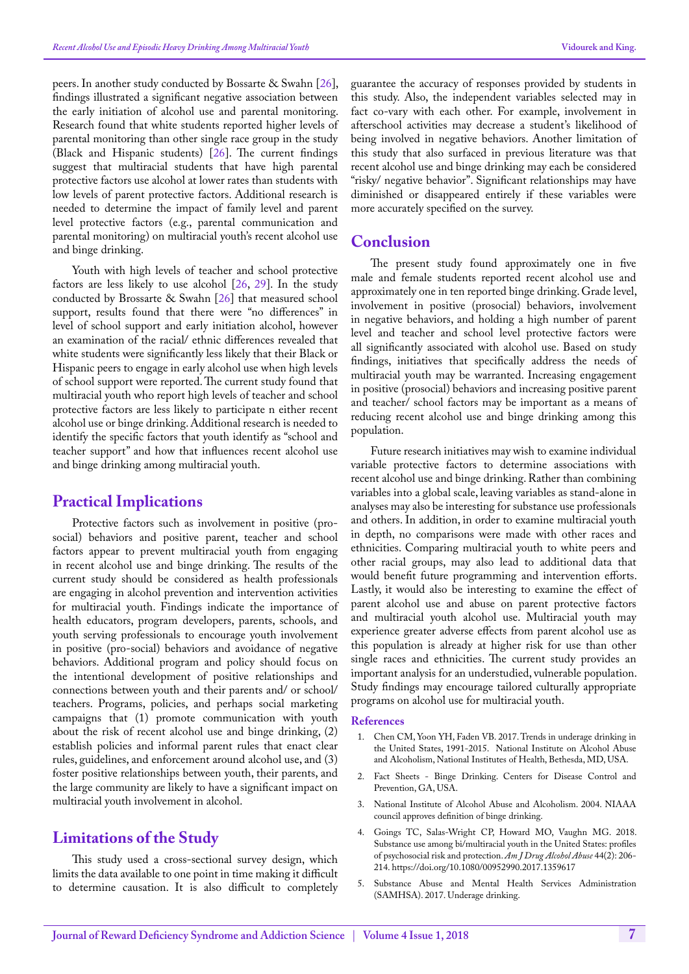peers. In another study conducted by Bossarte & Swahn [[26\]](#page-7-20), findings illustrated a significant negative association between the early initiation of alcohol use and parental monitoring. Research found that white students reported higher levels of parental monitoring than other single race group in the study (Black and Hispanic students) [\[26](#page-7-20)]. The current findings suggest that multiracial students that have high parental protective factors use alcohol at lower rates than students with low levels of parent protective factors. Additional research is needed to determine the impact of family level and parent level protective factors (e.g., parental communication and parental monitoring) on multiracial youth's recent alcohol use and binge drinking.

Youth with high levels of teacher and school protective factors are less likely to use alcohol [[26,](#page-7-20) [29\]](#page-7-21). In the study conducted by Brossarte & Swahn [[26\]](#page-7-20) that measured school support, results found that there were "no differences" in level of school support and early initiation alcohol, however an examination of the racial/ ethnic differences revealed that white students were significantly less likely that their Black or Hispanic peers to engage in early alcohol use when high levels of school support were reported. The current study found that multiracial youth who report high levels of teacher and school protective factors are less likely to participate n either recent alcohol use or binge drinking. Additional research is needed to identify the specific factors that youth identify as "school and teacher support" and how that influences recent alcohol use and binge drinking among multiracial youth.

# **Practical Implications**

Protective factors such as involvement in positive (prosocial) behaviors and positive parent, teacher and school factors appear to prevent multiracial youth from engaging in recent alcohol use and binge drinking. The results of the current study should be considered as health professionals are engaging in alcohol prevention and intervention activities for multiracial youth. Findings indicate the importance of health educators, program developers, parents, schools, and youth serving professionals to encourage youth involvement in positive (pro-social) behaviors and avoidance of negative behaviors. Additional program and policy should focus on the intentional development of positive relationships and connections between youth and their parents and/ or school/ teachers. Programs, policies, and perhaps social marketing campaigns that (1) promote communication with youth about the risk of recent alcohol use and binge drinking, (2) establish policies and informal parent rules that enact clear rules, guidelines, and enforcement around alcohol use, and (3) foster positive relationships between youth, their parents, and the large community are likely to have a significant impact on multiracial youth involvement in alcohol.

# **Limitations of the Study**

This study used a cross-sectional survey design, which limits the data available to one point in time making it difficult to determine causation. It is also difficult to completely guarantee the accuracy of responses provided by students in this study. Also, the independent variables selected may in fact co-vary with each other. For example, involvement in afterschool activities may decrease a student's likelihood of being involved in negative behaviors. Another limitation of this study that also surfaced in previous literature was that recent alcohol use and binge drinking may each be considered "risky/ negative behavior". Significant relationships may have diminished or disappeared entirely if these variables were more accurately specified on the survey.

# **Conclusion**

The present study found approximately one in five male and female students reported recent alcohol use and approximately one in ten reported binge drinking. Grade level, involvement in positive (prosocial) behaviors, involvement in negative behaviors, and holding a high number of parent level and teacher and school level protective factors were all significantly associated with alcohol use. Based on study findings, initiatives that specifically address the needs of multiracial youth may be warranted. Increasing engagement in positive (prosocial) behaviors and increasing positive parent and teacher/ school factors may be important as a means of reducing recent alcohol use and binge drinking among this population.

Future research initiatives may wish to examine individual variable protective factors to determine associations with recent alcohol use and binge drinking. Rather than combining variables into a global scale, leaving variables as stand-alone in analyses may also be interesting for substance use professionals and others. In addition, in order to examine multiracial youth in depth, no comparisons were made with other races and ethnicities. Comparing multiracial youth to white peers and other racial groups, may also lead to additional data that would benefit future programming and intervention efforts. Lastly, it would also be interesting to examine the effect of parent alcohol use and abuse on parent protective factors and multiracial youth alcohol use. Multiracial youth may experience greater adverse effects from parent alcohol use as this population is already at higher risk for use than other single races and ethnicities. The current study provides an important analysis for an understudied, vulnerable population. Study findings may encourage tailored culturally appropriate programs on alcohol use for multiracial youth.

#### **References**

- <span id="page-6-0"></span>1. [Chen CM, Yoon YH, Faden VB. 2017. Trends](https://pubs.niaaa.nih.gov/publications/surveillance107/Underage15.htm) in underage drinking in [the United States, 1991-2015. National Institute on Alcohol Abuse](https://pubs.niaaa.nih.gov/publications/surveillance107/Underage15.htm)  [and Alcoholism, National Institutes of Health, Bethesda, MD, USA.](https://pubs.niaaa.nih.gov/publications/surveillance107/Underage15.htm)
- <span id="page-6-1"></span>2. [Fact Sheets - Binge Drinking. Centers for Disease Control and](https://www.cdc.gov/alcohol/fact-sheets/binge-drinking.htm)  [Prevention, GA, USA.](https://www.cdc.gov/alcohol/fact-sheets/binge-drinking.htm)
- <span id="page-6-2"></span>3. [National Institute of Alcohol Abuse and Alcoholism. 2004. NIAAA](https://www.researchgate.net/publication/285020940_NIAAA_Council_Approves_Definition_of_Binge_Drinking)  [council approves definition of binge drinking.](https://www.researchgate.net/publication/285020940_NIAAA_Council_Approves_Definition_of_Binge_Drinking)
- <span id="page-6-3"></span>4. [Goings TC, Salas-Wright CP, Howard MO, Vaughn MG. 2018.](https://www.ncbi.nlm.nih.gov/pubmed/29053377)  [Substance use among bi/multiracial youth in the United States: profiles](https://www.ncbi.nlm.nih.gov/pubmed/29053377)  [of psychosocial risk and protection.](https://www.ncbi.nlm.nih.gov/pubmed/29053377) *Am J Drug Alcohol Abuse* 44(2): 206- [214.](https://www.ncbi.nlm.nih.gov/pubmed/29053377) <https://doi.org/10.1080/00952990.2017.1359617>
- <span id="page-6-4"></span>5. [Substance Abuse and Mental Health Services Administration](https://www.samhsa.gov/underage-drinking-topic)  [\(SAMHSA\). 2017. Underage drinking.](https://www.samhsa.gov/underage-drinking-topic)